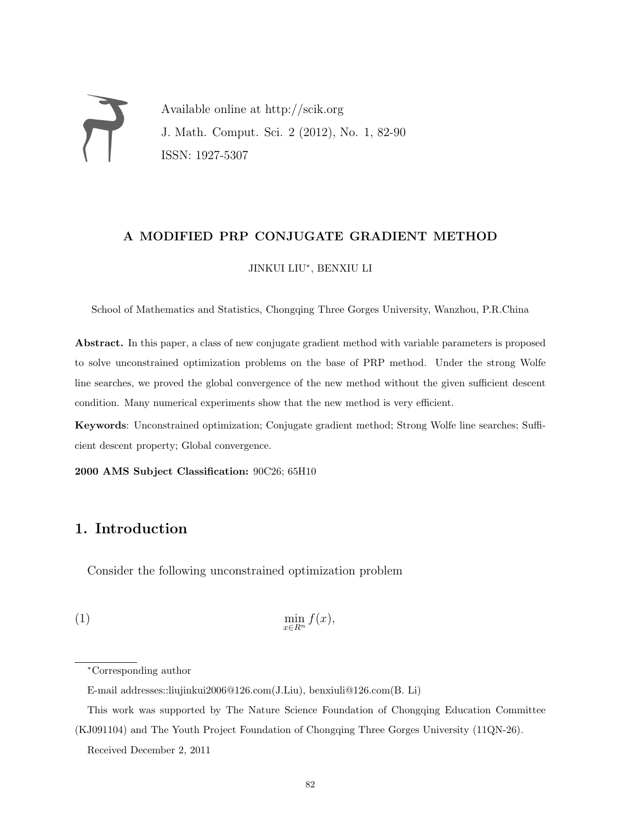Available online at http://scik.org J. Math. Comput. Sci. 2 (2012), No. 1, 82-90 ISSN: 1927-5307

## A MODIFIED PRP CONJUGATE GRADIENT METHOD

## JINKUI LIU<sup>∗</sup> , BENXIU LI

School of Mathematics and Statistics, Chongqing Three Gorges University, Wanzhou, P.R.China

Abstract. In this paper, a class of new conjugate gradient method with variable parameters is proposed to solve unconstrained optimization problems on the base of PRP method. Under the strong Wolfe line searches, we proved the global convergence of the new method without the given sufficient descent condition. Many numerical experiments show that the new method is very efficient.

Keywords: Unconstrained optimization; Conjugate gradient method; Strong Wolfe line searches; Sufficient descent property; Global convergence.

2000 AMS Subject Classification: 90C26; 65H10

# 1. Introduction

Consider the following unconstrained optimization problem

$$
\min_{x \in R^n} f(x),
$$

<sup>∗</sup>Corresponding author

E-mail addresses::liujinkui2006@126.com(J.Liu), benxiuli@126.com(B. Li)

This work was supported by The Nature Science Foundation of Chongqing Education Committee (KJ091104) and The Youth Project Foundation of Chongqing Three Gorges University (11QN-26).

Received December 2, 2011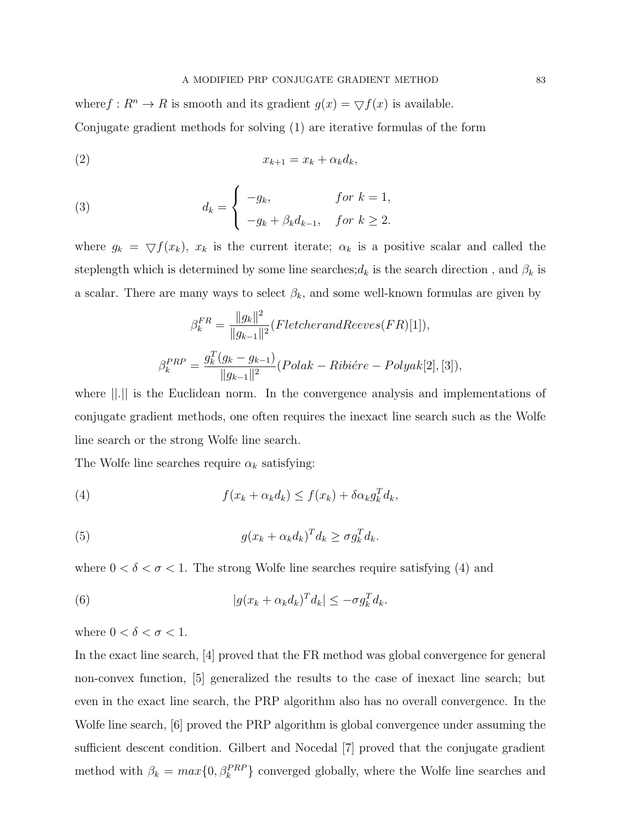where  $f: \mathbb{R}^n \to \mathbb{R}$  is smooth and its gradient  $g(x) = \nabla f(x)$  is available. Conjugate gradient methods for solving (1) are iterative formulas of the form

$$
(2) \t\t x_{k+1} = x_k + \alpha_k d_k,
$$

(3) 
$$
d_k = \begin{cases} -g_k, & \text{for } k = 1, \\ -g_k + \beta_k d_{k-1}, & \text{for } k \ge 2. \end{cases}
$$

where  $g_k = \nabla f(x_k)$ ,  $x_k$  is the current iterate;  $\alpha_k$  is a positive scalar and called the steplength which is determined by some line searches; $d_k$  is the search direction, and  $\beta_k$  is a scalar. There are many ways to select  $\beta_k$ , and some well-known formulas are given by

$$
\beta_k^{FR} = \frac{\|g_k\|^2}{\|g_{k-1}\|^2} (Fletcher and Reverse(FR)[1]),
$$

$$
\beta_k^{PRP} = \frac{g_k^T (g_k - g_{k-1})}{\|g_{k-1}\|^2} (Polak - Rib\acute{e}re - Polyak[2], [3]),
$$

where ||.|| is the Euclidean norm. In the convergence analysis and implementations of conjugate gradient methods, one often requires the inexact line search such as the Wolfe line search or the strong Wolfe line search.

The Wolfe line searches require  $\alpha_k$  satisfying:

(4) 
$$
f(x_k + \alpha_k d_k) \le f(x_k) + \delta \alpha_k g_k^T d_k,
$$

(5) 
$$
g(x_k + \alpha_k d_k)^T d_k \geq \sigma g_k^T d_k.
$$

where  $0 < \delta < \sigma < 1$ . The strong Wolfe line searches require satisfying (4) and

(6) 
$$
|g(x_k + \alpha_k d_k)^T d_k| \leq -\sigma g_k^T d_k.
$$

where  $0 < \delta < \sigma < 1.$ 

In the exact line search, [4] proved that the FR method was global convergence for general non-convex function, [5] generalized the results to the case of inexact line search; but even in the exact line search, the PRP algorithm also has no overall convergence. In the Wolfe line search, [6] proved the PRP algorithm is global convergence under assuming the sufficient descent condition. Gilbert and Nocedal [7] proved that the conjugate gradient method with  $\beta_k = max\{0, \beta_k^{PRP}\}\$ converged globally, where the Wolfe line searches and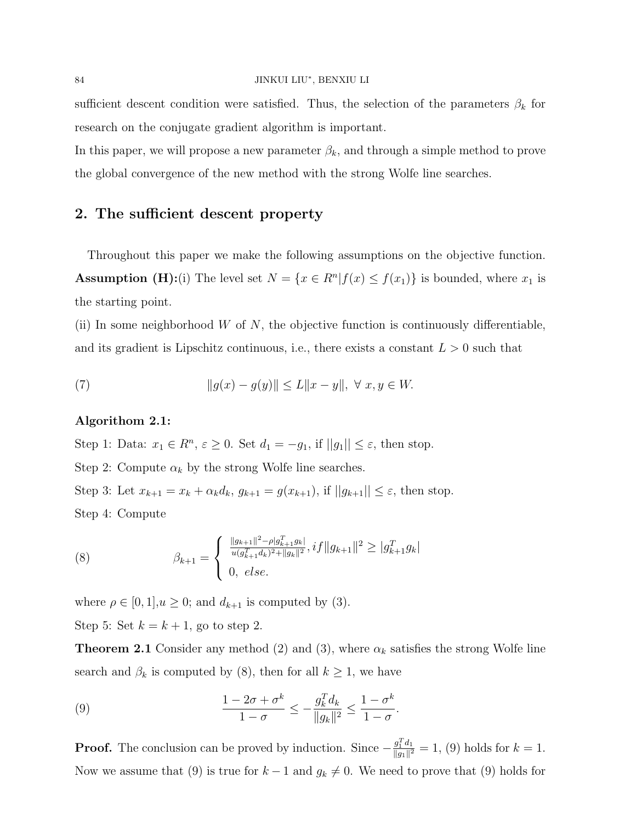#### 84 JINKUI LIU<sup>∗</sup> , BENXIU LI

sufficient descent condition were satisfied. Thus, the selection of the parameters  $\beta_k$  for research on the conjugate gradient algorithm is important.

In this paper, we will propose a new parameter  $\beta_k$ , and through a simple method to prove the global convergence of the new method with the strong Wolfe line searches.

# 2. The sufficient descent property

Throughout this paper we make the following assumptions on the objective function. **Assumption (H):**(i) The level set  $N = \{x \in R^n | f(x) \le f(x_1)\}\$ is bounded, where  $x_1$  is the starting point.

(ii) In some neighborhood  $W$  of  $N$ , the objective function is continuously differentiable, and its gradient is Lipschitz continuous, i.e., there exists a constant  $L > 0$  such that

(7) 
$$
||g(x) - g(y)|| \le L||x - y||, \ \forall \ x, y \in W.
$$

### Algorithom 2.1:

Step 1: Data:  $x_1 \in R^n$ ,  $\varepsilon \ge 0$ . Set  $d_1 = -g_1$ , if  $||g_1|| \le \varepsilon$ , then stop.

Step 2: Compute  $\alpha_k$  by the strong Wolfe line searches.

Step 3: Let  $x_{k+1} = x_k + \alpha_k d_k$ ,  $g_{k+1} = g(x_{k+1})$ , if  $||g_{k+1}|| \leq \varepsilon$ , then stop. Step 4: Compute

(8) 
$$
\beta_{k+1} = \begin{cases} \frac{\|g_{k+1}\|^2 - \rho |g_{k+1}^T g_k|}{u(g_{k+1}^T d_k)^2 + \|g_k\|^2}, if \|g_{k+1}\|^2 \ge |g_{k+1}^T g_k| \\ 0, else. \end{cases}
$$

where  $\rho \in [0, 1], u \geq 0$ ; and  $d_{k+1}$  is computed by (3). Step 5: Set  $k = k + 1$ , go to step 2.

**Theorem 2.1** Consider any method (2) and (3), where  $\alpha_k$  satisfies the strong Wolfe line search and  $\beta_k$  is computed by (8), then for all  $k \geq 1$ , we have

(9) 
$$
\frac{1 - 2\sigma + \sigma^k}{1 - \sigma} \le -\frac{g_k^T d_k}{\|g_k\|^2} \le \frac{1 - \sigma^k}{1 - \sigma}.
$$

**Proof.** The conclusion can be proved by induction. Since  $-\frac{g_1^T d_1}{\|a_1\|^2}$  $\frac{g_1^2 a_1}{\|g_1\|^2} = 1$ , (9) holds for  $k = 1$ . Now we assume that (9) is true for  $k - 1$  and  $g_k \neq 0$ . We need to prove that (9) holds for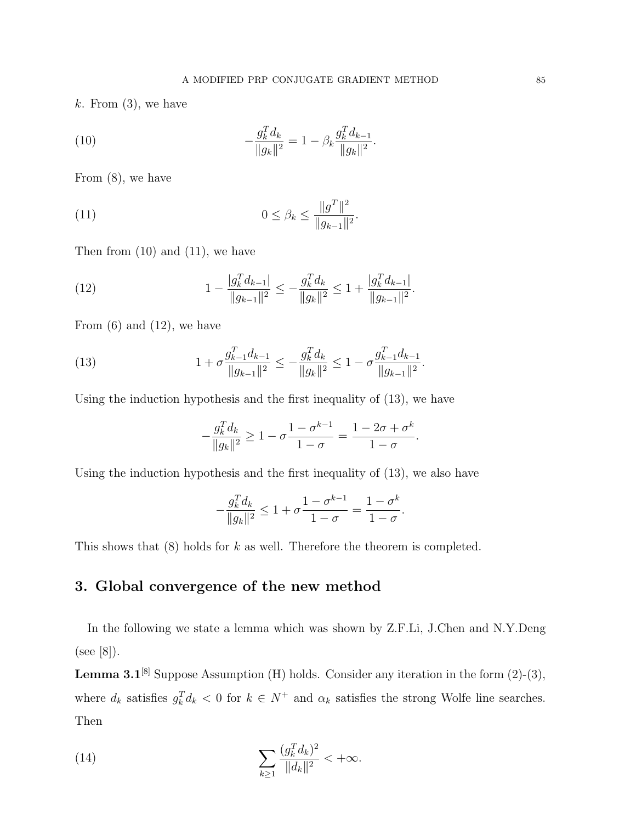$k.$  From  $(3)$ , we have

(10) 
$$
-\frac{g_k^T d_k}{\|g_k\|^2} = 1 - \beta_k \frac{g_k^T d_{k-1}}{\|g_k\|^2}.
$$

From (8), we have

(11) 
$$
0 \leq \beta_k \leq \frac{\|g^T\|^2}{\|g_{k-1}\|^2}.
$$

Then from  $(10)$  and  $(11)$ , we have

(12) 
$$
1 - \frac{|g_k^T d_{k-1}|}{\|g_{k-1}\|^2} \le -\frac{g_k^T d_k}{\|g_k\|^2} \le 1 + \frac{|g_k^T d_{k-1}|}{\|g_{k-1}\|^2}.
$$

From  $(6)$  and  $(12)$ , we have

(13) 
$$
1 + \sigma \frac{g_{k-1}^T d_{k-1}}{\|g_{k-1}\|^2} \le -\frac{g_k^T d_k}{\|g_k\|^2} \le 1 - \sigma \frac{g_{k-1}^T d_{k-1}}{\|g_{k-1}\|^2}.
$$

Using the induction hypothesis and the first inequality of (13), we have

$$
-\frac{g_k^Td_k}{\|g_k\|^2} \geq 1-\sigma\frac{1-\sigma^{k-1}}{1-\sigma} = \frac{1-2\sigma+\sigma^k}{1-\sigma}.
$$

Using the induction hypothesis and the first inequality of (13), we also have

$$
-\frac{g_k^T d_k}{\|g_k\|^2} \le 1 + \sigma \frac{1 - \sigma^{k-1}}{1 - \sigma} = \frac{1 - \sigma^k}{1 - \sigma}.
$$

This shows that (8) holds for k as well. Therefore the theorem is completed.

# 3. Global convergence of the new method

In the following we state a lemma which was shown by Z.F.Li, J.Chen and N.Y.Deng (see [8]).

**Lemma 3.1**<sup>[8]</sup> Suppose Assumption (H) holds. Consider any iteration in the form  $(2)-(3)$ , where  $d_k$  satisfies  $g_k^T d_k < 0$  for  $k \in N^+$  and  $\alpha_k$  satisfies the strong Wolfe line searches. Then

(14) 
$$
\sum_{k\geq 1} \frac{(g_k^T d_k)^2}{\|d_k\|^2} < +\infty.
$$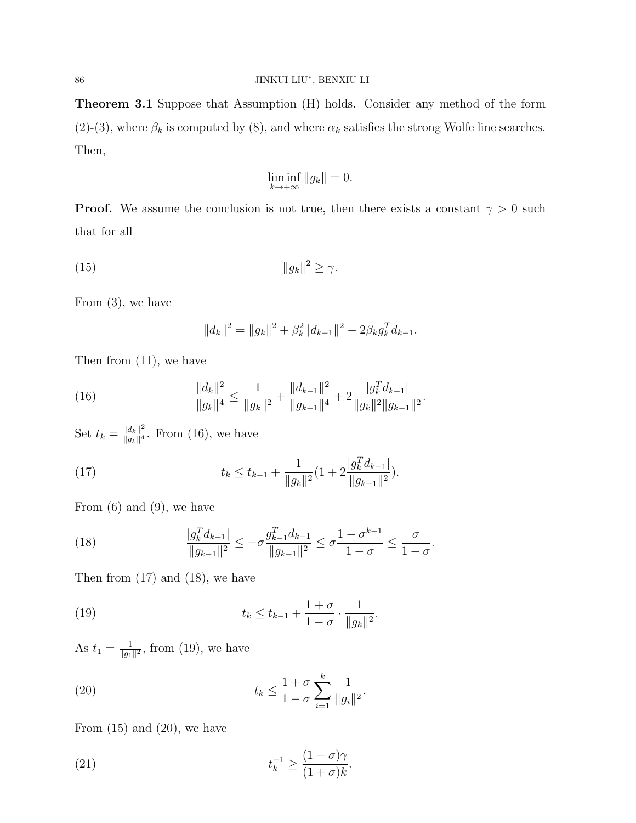Theorem 3.1 Suppose that Assumption (H) holds. Consider any method of the form (2)-(3), where  $\beta_k$  is computed by (8), and where  $\alpha_k$  satisfies the strong Wolfe line searches. Then,

$$
\liminf_{k \to +\infty} \|g_k\| = 0.
$$

**Proof.** We assume the conclusion is not true, then there exists a constant  $\gamma > 0$  such that for all

$$
(15) \t\t\t ||g_k||^2 \ge \gamma.
$$

From (3), we have

$$
||d_k||^2 = ||g_k||^2 + \beta_k^2 ||d_{k-1}||^2 - 2\beta_k g_k^T d_{k-1}.
$$

Then from (11), we have

(16) 
$$
\frac{\|d_k\|^2}{\|g_k\|^4} \le \frac{1}{\|g_k\|^2} + \frac{\|d_{k-1}\|^2}{\|g_{k-1}\|^4} + 2\frac{|g_k^T d_{k-1}|}{\|g_k\|^2 \|g_{k-1}\|^2}.
$$

Set  $t_k = \frac{||d_k||^2}{||d_k||^4}$  $\frac{\|a_k\|^2}{\|g_k\|^4}$ . From (16), we have

(17) 
$$
t_k \leq t_{k-1} + \frac{1}{\|g_k\|^2} (1 + 2 \frac{|g_k^T d_{k-1}|}{\|g_{k-1}\|^2}).
$$

From  $(6)$  and  $(9)$ , we have

(18) 
$$
\frac{|g_k^T d_{k-1}|}{\|g_{k-1}\|^2} \le -\sigma \frac{g_{k-1}^T d_{k-1}}{\|g_{k-1}\|^2} \le \sigma \frac{1-\sigma^{k-1}}{1-\sigma} \le \frac{\sigma}{1-\sigma}.
$$

Then from  $(17)$  and  $(18)$ , we have

(19) 
$$
t_k \leq t_{k-1} + \frac{1+\sigma}{1-\sigma} \cdot \frac{1}{\|g_k\|^2}.
$$

As  $t_1 = \frac{1}{\|a_1\|}$  $\frac{1}{\|g_1\|^2}$ , from (19), we have

(20) 
$$
t_k \leq \frac{1+\sigma}{1-\sigma} \sum_{i=1}^k \frac{1}{\|g_i\|^2}.
$$

From  $(15)$  and  $(20)$ , we have

(21) 
$$
t_k^{-1} \geq \frac{(1-\sigma)\gamma}{(1+\sigma)k}.
$$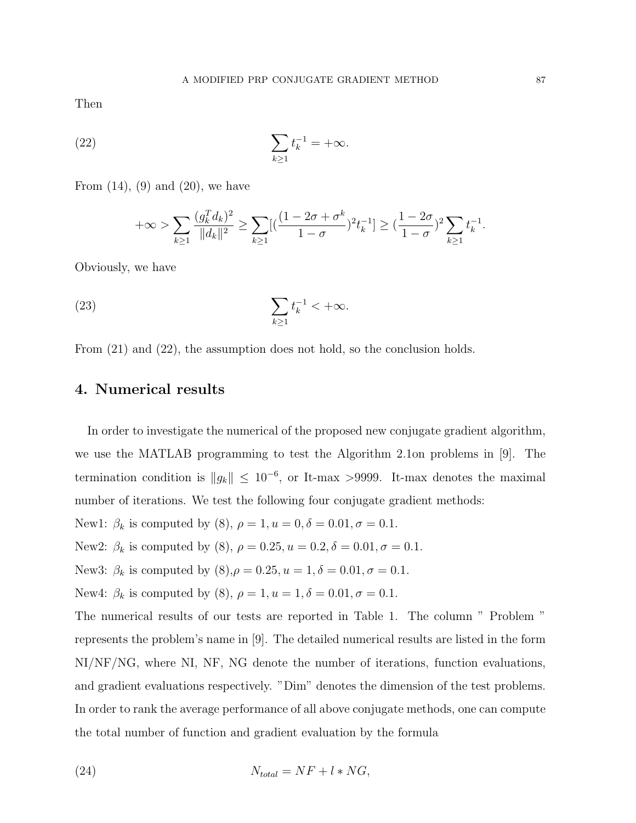Then

(22) 
$$
\sum_{k\geq 1} t_k^{-1} = +\infty.
$$

From  $(14)$ ,  $(9)$  and  $(20)$ , we have

$$
+\infty > \sum_{k\geq 1} \frac{(g_k^T d_k)^2}{\|d_k\|^2} \geq \sum_{k\geq 1} [(\frac{(1-2\sigma+\sigma^k}{1-\sigma})^2 t_k^{-1}] \geq (\frac{1-2\sigma}{1-\sigma})^2 \sum_{k\geq 1} t_k^{-1}.
$$

Obviously, we have

$$
\sum_{k\geq 1} t_k^{-1} < +\infty.
$$

From (21) and (22), the assumption does not hold, so the conclusion holds.

## 4. Numerical results

In order to investigate the numerical of the proposed new conjugate gradient algorithm, we use the MATLAB programming to test the Algorithm 2.1on problems in [9]. The termination condition is  $||g_k|| \leq 10^{-6}$ , or It-max >9999. It-max denotes the maximal number of iterations. We test the following four conjugate gradient methods:

- New1:  $\beta_k$  is computed by (8),  $\rho = 1, u = 0, \delta = 0.01, \sigma = 0.1$ .
- New2:  $\beta_k$  is computed by (8),  $\rho = 0.25, u = 0.2, \delta = 0.01, \sigma = 0.1$ .
- New3:  $\beta_k$  is computed by  $(8)$ ,  $\rho = 0.25$ ,  $u = 1$ ,  $\delta = 0.01$ ,  $\sigma = 0.1$ .

New4: 
$$
\beta_k
$$
 is computed by (8),  $\rho = 1, u = 1, \delta = 0.01, \sigma = 0.1$ .

The numerical results of our tests are reported in Table 1. The column " Problem " represents the problem's name in [9]. The detailed numerical results are listed in the form NI/NF/NG, where NI, NF, NG denote the number of iterations, function evaluations, and gradient evaluations respectively. "Dim" denotes the dimension of the test problems. In order to rank the average performance of all above conjugate methods, one can compute the total number of function and gradient evaluation by the formula

$$
N_{total} = NF + l * NG,
$$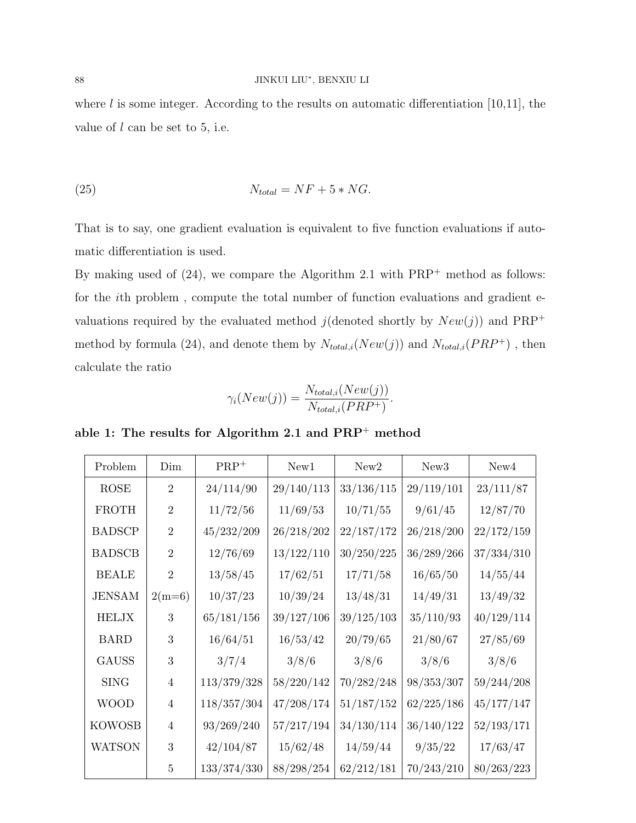#### 88 JINKUI LIU<sup>∗</sup> , BENXIU LI

where  $l$  is some integer. According to the results on automatic differentiation [10,11], the value of  $l$  can be set to 5, i.e.

$$
(25) \t\t N_{total} = NF + 5 * NG.
$$

That is to say, one gradient evaluation is equivalent to five function evaluations if automatic differentiation is used.

By making used of  $(24)$ , we compare the Algorithm 2.1 with  $PRP<sup>+</sup>$  method as follows: for the ith problem , compute the total number of function evaluations and gradient evaluations required by the evaluated method  $j$ (denoted shortly by  $New(j)$ ) and PRP<sup>+</sup> method by formula (24), and denote them by  $N_{total,i}(New(j))$  and  $N_{total,i}(PRP^+)$ , then calculate the ratio

$$
\gamma_i(New(j)) = \frac{N_{total,i}(New(j))}{N_{total,i}(PRP^+)}.
$$

able 1: The results for Algorithm 2.1 and PRP<sup>+</sup> method

| Problem       | Dim            | $PRP^+$     | New1       | New2       | New <sub>3</sub> | New4       |
|---------------|----------------|-------------|------------|------------|------------------|------------|
| <b>ROSE</b>   | $\overline{2}$ | 24/114/90   | 29/140/113 | 33/136/115 | 29/119/101       | 23/111/87  |
| <b>FROTH</b>  | $\overline{2}$ | 11/72/56    | 11/69/53   | 10/71/55   | 9/61/45          | 12/87/70   |
| <b>BADSCP</b> | $\overline{2}$ | 45/232/209  | 26/218/202 | 22/187/172 | 26/218/200       | 22/172/159 |
| <b>BADSCB</b> | $\overline{2}$ | 12/76/69    | 13/122/110 | 30/250/225 | 36/289/266       | 37/334/310 |
| <b>BEALE</b>  | $\overline{2}$ | 13/58/45    | 17/62/51   | 17/71/58   | 16/65/50         | 14/55/44   |
| <b>JENSAM</b> | $2(m=6)$       | 10/37/23    | 10/39/24   | 13/48/31   | 14/49/31         | 13/49/32   |
| <b>HELJX</b>  | 3              | 65/181/156  | 39/127/106 | 39/125/103 | 35/110/93        | 40/129/114 |
| <b>BARD</b>   | 3              | 16/64/51    | 16/53/42   | 20/79/65   | 21/80/67         | 27/85/69   |
| <b>GAUSS</b>  | 3              | 3/7/4       | 3/8/6      | 3/8/6      | 3/8/6            | 3/8/6      |
| <b>SING</b>   | $\overline{4}$ | 113/379/328 | 58/220/142 | 70/282/248 | 98/353/307       | 59/244/208 |
| <b>WOOD</b>   | $\overline{4}$ | 118/357/304 | 47/208/174 | 51/187/152 | 62/225/186       | 45/177/147 |
| <b>KOWOSB</b> | 4              | 93/269/240  | 57/217/194 | 34/130/114 | 36/140/122       | 52/193/171 |
| <b>WATSON</b> | 3              | 42/104/87   | 15/62/48   | 14/59/44   | 9/35/22          | 17/63/47   |
|               | 5              | 133/374/330 | 88/298/254 | 62/212/181 | 70/243/210       | 80/263/223 |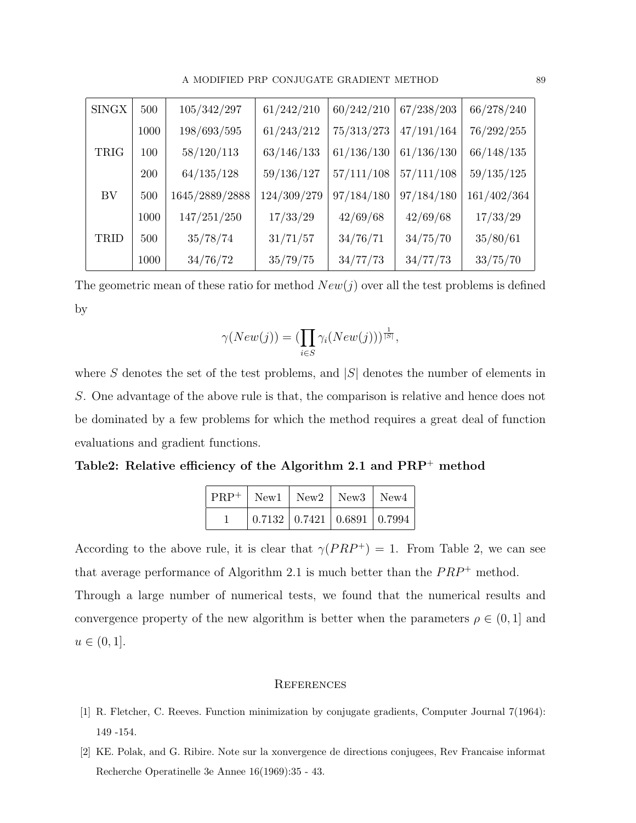| <b>SINGX</b> | 500  | 105/342/297     | 61/242/210  | 60/242/210 | 67/238/203 | 66/278/240  |
|--------------|------|-----------------|-------------|------------|------------|-------------|
|              | 1000 | 198/693/595     | 61/243/212  | 75/313/273 | 47/191/164 | 76/292/255  |
| TRIG         | 100  | 58/120/113      | 63/146/133  | 61/136/130 | 61/136/130 | 66/148/135  |
|              | 200  | 64/135/128      | 59/136/127  | 57/111/108 | 57/111/108 | 59/135/125  |
| BV           | 500  | 1645/2889/2888  | 124/309/279 | 97/184/180 | 97/184/180 | 161/402/364 |
|              | 1000 | $147/251/250\,$ | 17/33/29    | 42/69/68   | 42/69/68   | 17/33/29    |
| TRID         | 500  | 35/78/74        | 31/71/57    | 34/76/71   | 34/75/70   | 35/80/61    |
|              | 1000 | 34/76/72        | 35/79/75    | 34/77/73   | 34/77/73   | 33/75/70    |

The geometric mean of these ratio for method  $New(j)$  over all the test problems is defined by

$$
\gamma(New(j)) = (\prod_{i \in S} \gamma_i(New(j)))^{\frac{1}{|S|}},
$$

where S denotes the set of the test problems, and  $|S|$  denotes the number of elements in S. One advantage of the above rule is that, the comparison is relative and hence does not be dominated by a few problems for which the method requires a great deal of function evaluations and gradient functions.

Table2: Relative efficiency of the Algorithm 2.1 and PRP<sup>+</sup> method

| $ $ PRP <sup>+</sup>   New1   New2   New3   New4 |  |                                                        |
|--------------------------------------------------|--|--------------------------------------------------------|
|                                                  |  | $\mid 0.7132 \mid 0.7421 \mid 0.6891 \mid 0.7994 \mid$ |

According to the above rule, it is clear that  $\gamma(PRP^+) = 1$ . From Table 2, we can see that average performance of Algorithm 2.1 is much better than the  $PRP^+$  method. Through a large number of numerical tests, we found that the numerical results and convergence property of the new algorithm is better when the parameters  $\rho \in (0,1]$  and  $u \in (0, 1].$ 

#### **REFERENCES**

- [1] R. Fletcher, C. Reeves. Function minimization by conjugate gradients, Computer Journal 7(1964): 149 -154.
- [2] KE. Polak, and G. Ribire. Note sur la xonvergence de directions conjugees, Rev Francaise informat Recherche Operatinelle 3e Annee 16(1969):35 - 43.